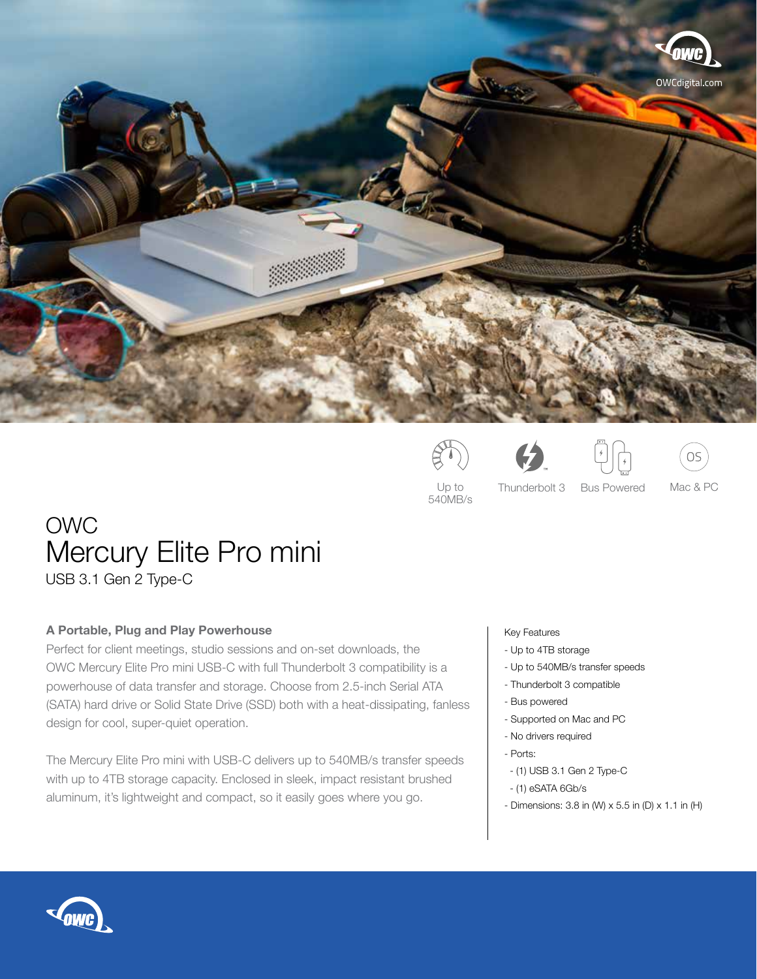









540MB/s

Up to Thunderbolt 3 Bus Powered Mac & PC Bus Powered

# OWC Mercury Elite Pro mini

USB 3.1 Gen 2 Type-C

# **A Portable, Plug and Play Powerhouse**

Perfect for client meetings, studio sessions and on-set downloads, the OWC Mercury Elite Pro mini USB-C with full Thunderbolt 3 compatibility is a powerhouse of data transfer and storage. Choose from 2.5-inch Serial ATA (SATA) hard drive or Solid State Drive (SSD) both with a heat-dissipating, fanless design for cool, super-quiet operation.

The Mercury Elite Pro mini with USB-C delivers up to 540MB/s transfer speeds with up to 4TB storage capacity. Enclosed in sleek, impact resistant brushed aluminum, it's lightweight and compact, so it easily goes where you go.

# Key Features

- Up to 4TB storage
- Up to 540MB/s transfer speeds
- Thunderbolt 3 compatible
- Bus powered
- Supported on Mac and PC
- No drivers required
- Ports:
- (1) USB 3.1 Gen 2 Type-C
- (1) eSATA 6Gb/s
- Dimensions:  $3.8$  in (W)  $\times$   $5.5$  in (D)  $\times$   $1.1$  in (H)